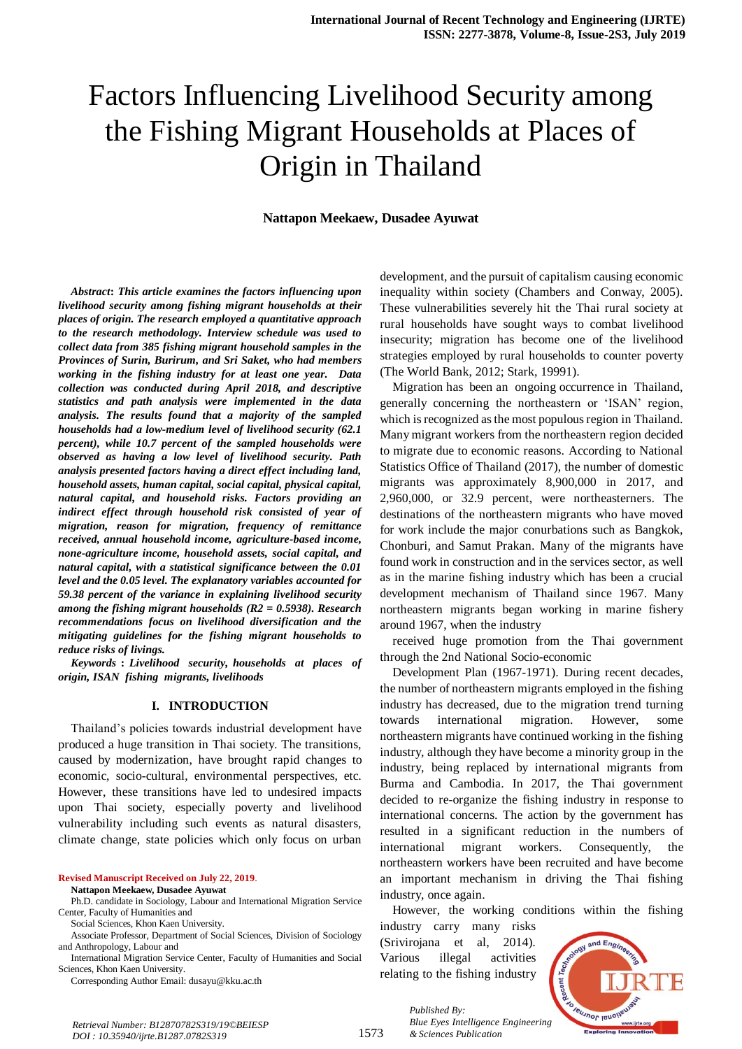# Factors Influencing Livelihood Security among the Fishing Migrant Households at Places of Origin in Thailand

## **Nattapon Meekaew, Dusadee Ayuwat**

*Abstract***:** *This article examines the factors influencing upon livelihood security among fishing migrant households at their places of origin. The research employed a quantitative approach to the research methodology. Interview schedule was used to collect data from 385 fishing migrant household samples in the Provinces of Surin, Burirum, and Sri Saket, who had members working in the fishing industry for at least one year. Data collection was conducted during April 2018, and descriptive statistics and path analysis were implemented in the data analysis. The results found that a majority of the sampled households had a low-medium level of livelihood security (62.1 percent), while 10.7 percent of the sampled households were observed as having a low level of livelihood security. Path analysis presented factors having a direct effect including land, household assets, human capital, social capital, physical capital, natural capital, and household risks. Factors providing an indirect effect through household risk consisted of year of migration, reason for migration, frequency of remittance received, annual household income, agriculture-based income, none-agriculture income, household assets, social capital, and natural capital, with a statistical significance between the 0.01 level and the 0.05 level. The explanatory variables accounted for 59.38 percent of the variance in explaining livelihood security among the fishing migrant households (R2 = 0.5938). Research recommendations focus on livelihood diversification and the mitigating guidelines for the fishing migrant households to reduce risks of livings.*

*Keywords* **:** *Livelihood security, households at places of origin, ISAN fishing migrants, livelihoods*

#### **I. INTRODUCTION**

Thailand's policies towards industrial development have produced a huge transition in Thai society. The transitions, caused by modernization, have brought rapid changes to economic, socio-cultural, environmental perspectives, etc. However, these transitions have led to undesired impacts upon Thai society, especially poverty and livelihood vulnerability including such events as natural disasters, climate change, state policies which only focus on urban

**Revised Manuscript Received on July 22, 2019**. **Nattapon Meekaew, Dusadee Ayuwat**

Ph.D. candidate in Sociology, Labour and International Migration Service Center, Faculty of Humanities and

Social Sciences, Khon Kaen University.

Associate Professor, Department of Social Sciences, Division of Sociology and Anthropology, Labour and

International Migration Service Center, Faculty of Humanities and Social Sciences, Khon Kaen University.

Corresponding Author Email: dusayu@kku.ac.th

development, and the pursuit of capitalism causing economic inequality within society (Chambers and Conway, 2005). These vulnerabilities severely hit the Thai rural society at rural households have sought ways to combat livelihood insecurity; migration has become one of the livelihood strategies employed by rural households to counter poverty (The World Bank, 2012; Stark, 19991).

Migration has been an ongoing occurrence in Thailand, generally concerning the northeastern or 'ISAN' region, which is recognized as the most populous region in Thailand. Many migrant workers from the northeastern region decided to migrate due to economic reasons. According to National Statistics Office of Thailand (2017), the number of domestic migrants was approximately 8,900,000 in 2017, and 2,960,000, or 32.9 percent, were northeasterners. The destinations of the northeastern migrants who have moved for work include the major conurbations such as Bangkok, Chonburi, and Samut Prakan. Many of the migrants have found work in construction and in the services sector, as well as in the marine fishing industry which has been a crucial development mechanism of Thailand since 1967. Many northeastern migrants began working in marine fishery around 1967, when the industry

received huge promotion from the Thai government through the 2nd National Socio-economic

Development Plan (1967-1971). During recent decades, the number of northeastern migrants employed in the fishing industry has decreased, due to the migration trend turning towards international migration. However, some northeastern migrants have continued working in the fishing industry, although they have become a minority group in the industry, being replaced by international migrants from Burma and Cambodia. In 2017, the Thai government decided to re-organize the fishing industry in response to international concerns. The action by the government has resulted in a significant reduction in the numbers of international migrant workers. Consequently, the northeastern workers have been recruited and have become an important mechanism in driving the Thai fishing industry, once again.

However, the working conditions within the fishing

industry carry many risks (Srivirojana et al, 2014). Various illegal activities relating to the fishing industry

*& Sciences Publication* 

*Published By:*



*Retrieval Number: B12870782S319/19©BEIESP DOI : 10.35940/ijrte.B1287.0782S319*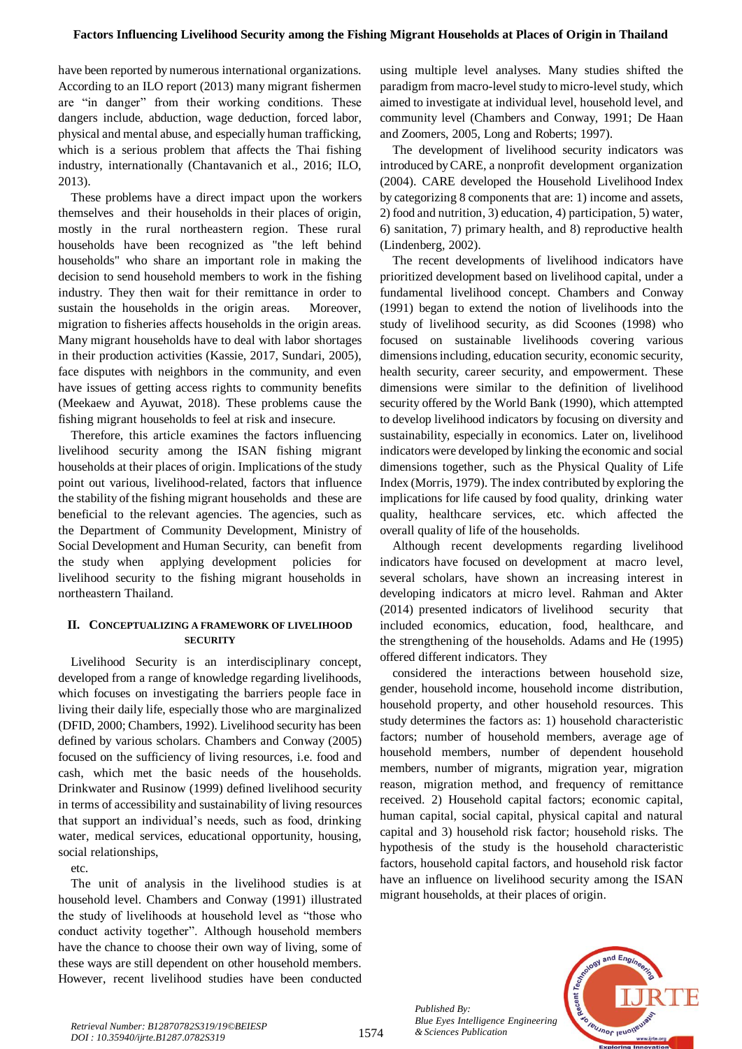have been reported by numerous international organizations. According to an ILO report (2013) many migrant fishermen are "in danger" from their working conditions. These dangers include, abduction, wage deduction, forced labor, physical and mental abuse, and especially human trafficking, which is a serious problem that affects the Thai fishing industry, internationally (Chantavanich et al., 2016; ILO, 2013).

These problems have a direct impact upon the workers themselves and their households in their places of origin, mostly in the rural northeastern region. These rural households have been recognized as "the left behind households" who share an important role in making the decision to send household members to work in the fishing industry. They then wait for their remittance in order to sustain the households in the origin areas. Moreover, migration to fisheries affects households in the origin areas. Many migrant households have to deal with labor shortages in their production activities (Kassie, 2017, Sundari, 2005), face disputes with neighbors in the community, and even have issues of getting access rights to community benefits (Meekaew and Ayuwat, 2018). These problems cause the fishing migrant households to feel at risk and insecure.

Therefore, this article examines the factors influencing livelihood security among the ISAN fishing migrant households at their places of origin. Implications of the study point out various, livelihood-related, factors that influence the stability of the fishing migrant households and these are beneficial to the relevant agencies. The agencies, such as the Department of Community Development, Ministry of Social Development and Human Security, can benefit from the study when applying development policies for livelihood security to the fishing migrant households in northeastern Thailand.

# **II. CONCEPTUALIZING A FRAMEWORK OF LIVELIHOOD SECURITY**

Livelihood Security is an interdisciplinary concept, developed from a range of knowledge regarding livelihoods, which focuses on investigating the barriers people face in living their daily life, especially those who are marginalized (DFID, 2000; Chambers, 1992). Livelihood security has been defined by various scholars. Chambers and Conway (2005) focused on the sufficiency of living resources, i.e. food and cash, which met the basic needs of the households. Drinkwater and Rusinow (1999) defined livelihood security in terms of accessibility and sustainability of living resources that support an individual's needs, such as food, drinking water, medical services, educational opportunity, housing, social relationships,

etc.

The unit of analysis in the livelihood studies is at household level. Chambers and Conway (1991) illustrated the study of livelihoods at household level as "those who conduct activity together". Although household members have the chance to choose their own way of living, some of these ways are still dependent on other household members. However, recent livelihood studies have been conducted using multiple level analyses. Many studies shifted the paradigm from macro-level study to micro-level study, which aimed to investigate at individual level, household level, and community level (Chambers and Conway, 1991; De Haan and Zoomers, 2005, Long and Roberts; 1997).

The development of livelihood security indicators was introduced by CARE, a nonprofit development organization (2004). CARE developed the Household Livelihood Index by categorizing 8 components that are: 1) income and assets, 2) food and nutrition, 3) education, 4) participation, 5) water, 6) sanitation, 7) primary health, and 8) reproductive health (Lindenberg, 2002).

The recent developments of livelihood indicators have prioritized development based on livelihood capital, under a fundamental livelihood concept. Chambers and Conway (1991) began to extend the notion of livelihoods into the study of livelihood security, as did Scoones (1998) who focused on sustainable livelihoods covering various dimensions including, education security, economic security, health security, career security, and empowerment. These dimensions were similar to the definition of livelihood security offered by the World Bank (1990), which attempted to develop livelihood indicators by focusing on diversity and sustainability, especially in economics. Later on, livelihood indicators were developed by linking the economic and social dimensions together, such as the Physical Quality of Life Index (Morris, 1979). The index contributed by exploring the implications for life caused by food quality, drinking water quality, healthcare services, etc. which affected the overall quality of life of the households.

Although recent developments regarding livelihood indicators have focused on development at macro level, several scholars, have shown an increasing interest in developing indicators at micro level. Rahman and Akter (2014) presented indicators of livelihood security that included economics, education, food, healthcare, and the strengthening of the households. Adams and He (1995) offered different indicators. They

considered the interactions between household size, gender, household income, household income distribution, household property, and other household resources. This study determines the factors as: 1) household characteristic factors; number of household members, average age of household members, number of dependent household members, number of migrants, migration year, migration reason, migration method, and frequency of remittance received. 2) Household capital factors; economic capital, human capital, social capital, physical capital and natural capital and 3) household risk factor; household risks. The hypothesis of the study is the household characteristic factors, household capital factors, and household risk factor have an influence on livelihood security among the ISAN migrant households, at their places of origin.

> *Published By: Blue Eyes Intelligence Engineering*



*Buue Eyes Intelligence*<br>1574 *& Sciences Publication Retrieval Number: B12870782S319/19©BEIESP DOI : 10.35940/ijrte.B1287.0782S319*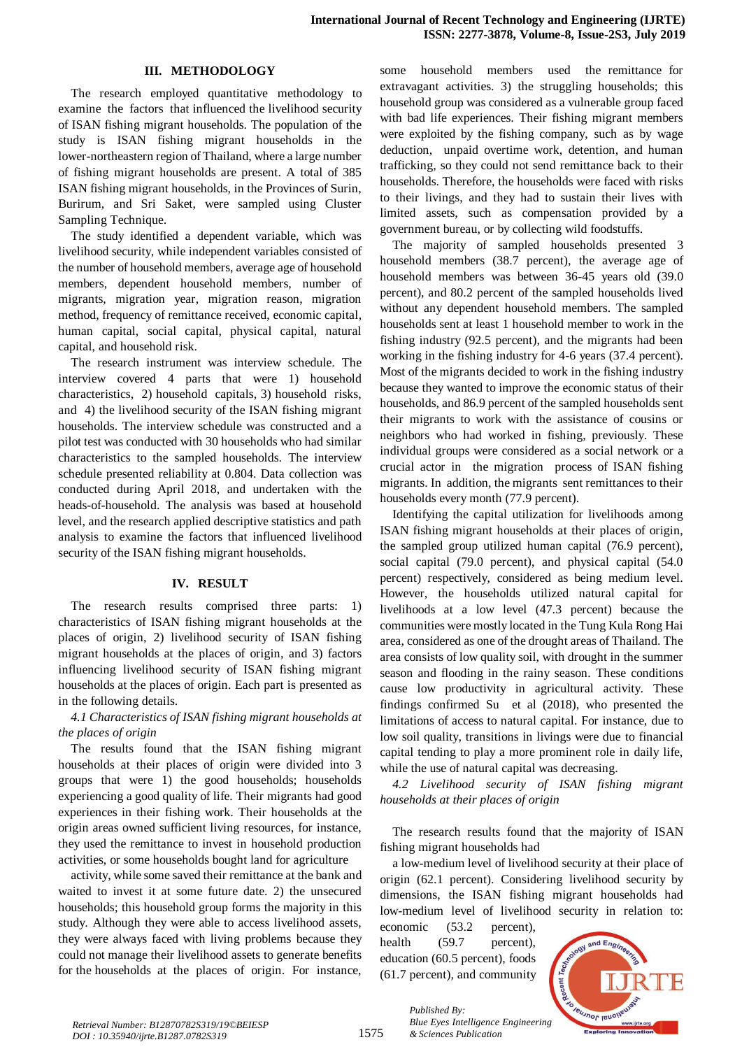#### **III. METHODOLOGY**

The research employed quantitative methodology to examine the factors that influenced the livelihood security of ISAN fishing migrant households. The population of the study is ISAN fishing migrant households in the lower-northeastern region of Thailand, where a large number of fishing migrant households are present. A total of 385 ISAN fishing migrant households, in the Provinces of Surin, Burirum, and Sri Saket, were sampled using Cluster Sampling Technique.

The study identified a dependent variable, which was livelihood security, while independent variables consisted of the number of household members, average age of household members, dependent household members, number of migrants, migration year, migration reason, migration method, frequency of remittance received, economic capital, human capital, social capital, physical capital, natural capital, and household risk.

The research instrument was interview schedule. The interview covered 4 parts that were 1) household characteristics, 2) household capitals, 3) household risks, and 4) the livelihood security of the ISAN fishing migrant households. The interview schedule was constructed and a pilot test was conducted with 30 households who had similar characteristics to the sampled households. The interview schedule presented reliability at 0.804. Data collection was conducted during April 2018, and undertaken with the heads-of-household. The analysis was based at household level, and the research applied descriptive statistics and path analysis to examine the factors that influenced livelihood security of the ISAN fishing migrant households.

### **IV. RESULT**

The research results comprised three parts: 1) characteristics of ISAN fishing migrant households at the places of origin, 2) livelihood security of ISAN fishing migrant households at the places of origin, and 3) factors influencing livelihood security of ISAN fishing migrant households at the places of origin. Each part is presented as in the following details.

# *4.1 Characteristics of ISAN fishing migrant households at the places of origin*

The results found that the ISAN fishing migrant households at their places of origin were divided into 3 groups that were 1) the good households; households experiencing a good quality of life. Their migrants had good experiences in their fishing work. Their households at the origin areas owned sufficient living resources, for instance, they used the remittance to invest in household production activities, or some households bought land for agriculture

activity, while some saved their remittance at the bank and waited to invest it at some future date. 2) the unsecured households; this household group forms the majority in this study. Although they were able to access livelihood assets, they were always faced with living problems because they could not manage their livelihood assets to generate benefits for the households at the places of origin. For instance,

some household members used the remittance for extravagant activities. 3) the struggling households; this household group was considered as a vulnerable group faced with bad life experiences. Their fishing migrant members were exploited by the fishing company, such as by wage deduction, unpaid overtime work, detention, and human trafficking, so they could not send remittance back to their households. Therefore, the households were faced with risks to their livings, and they had to sustain their lives with limited assets, such as compensation provided by a government bureau, or by collecting wild foodstuffs.

The majority of sampled households presented 3 household members (38.7 percent), the average age of household members was between 36-45 years old (39.0 percent), and 80.2 percent of the sampled households lived without any dependent household members. The sampled households sent at least 1 household member to work in the fishing industry (92.5 percent), and the migrants had been working in the fishing industry for 4-6 years (37.4 percent). Most of the migrants decided to work in the fishing industry because they wanted to improve the economic status of their households, and 86.9 percent of the sampled households sent their migrants to work with the assistance of cousins or neighbors who had worked in fishing, previously. These individual groups were considered as a social network or a crucial actor in the migration process of ISAN fishing migrants. In addition, the migrants sent remittances to their households every month (77.9 percent).

Identifying the capital utilization for livelihoods among ISAN fishing migrant households at their places of origin, the sampled group utilized human capital (76.9 percent), social capital (79.0 percent), and physical capital (54.0) percent) respectively, considered as being medium level. However, the households utilized natural capital for livelihoods at a low level (47.3 percent) because the communities were mostly located in the Tung Kula Rong Hai area, considered as one of the drought areas of Thailand. The area consists of low quality soil, with drought in the summer season and flooding in the rainy season. These conditions cause low productivity in agricultural activity. These findings confirmed Su et al (2018), who presented the limitations of access to natural capital. For instance, due to low soil quality, transitions in livings were due to financial capital tending to play a more prominent role in daily life, while the use of natural capital was decreasing.

*4.2 Livelihood security of ISAN fishing migrant households at their places of origin*

The research results found that the majority of ISAN fishing migrant households had

a low-medium level of livelihood security at their place of origin (62.1 percent). Considering livelihood security by dimensions, the ISAN fishing migrant households had low-medium level of livelihood security in relation to:

economic (53.2 percent), health (59.7 percent), education (60.5 percent), foods (61.7 percent), and community

*& Sciences Publication* 

*Published By:*

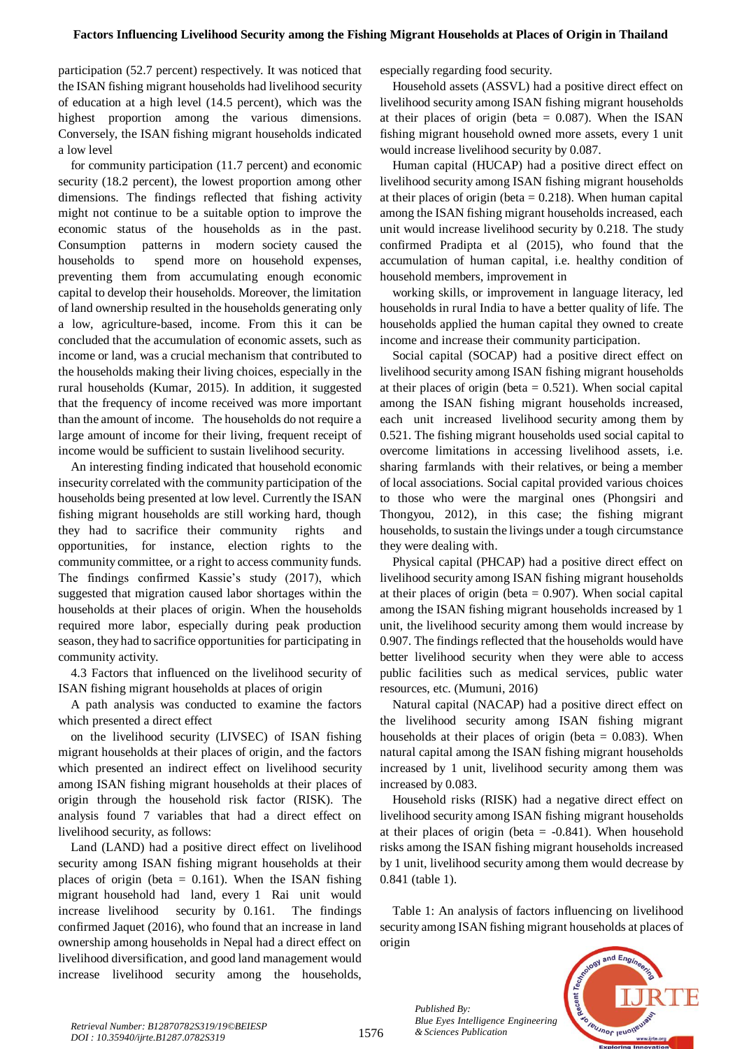participation (52.7 percent) respectively. It was noticed that the ISAN fishing migrant households had livelihood security of education at a high level (14.5 percent), which was the highest proportion among the various dimensions. Conversely, the ISAN fishing migrant households indicated a low level

for community participation (11.7 percent) and economic security (18.2 percent), the lowest proportion among other dimensions. The findings reflected that fishing activity might not continue to be a suitable option to improve the economic status of the households as in the past. Consumption patterns in modern society caused the households to spend more on household expenses, preventing them from accumulating enough economic capital to develop their households. Moreover, the limitation of land ownership resulted in the households generating only a low, agriculture-based, income. From this it can be concluded that the accumulation of economic assets, such as income or land, was a crucial mechanism that contributed to the households making their living choices, especially in the rural households (Kumar, 2015). In addition, it suggested that the frequency of income received was more important than the amount of income. The households do not require a large amount of income for their living, frequent receipt of income would be sufficient to sustain livelihood security.

An interesting finding indicated that household economic insecurity correlated with the community participation of the households being presented at low level. Currently the ISAN fishing migrant households are still working hard, though they had to sacrifice their community rights and opportunities, for instance, election rights to the community committee, or a right to access community funds. The findings confirmed Kassie's study (2017), which suggested that migration caused labor shortages within the households at their places of origin. When the households required more labor, especially during peak production season, they had to sacrifice opportunities for participating in community activity.

4.3 Factors that influenced on the livelihood security of ISAN fishing migrant households at places of origin

A path analysis was conducted to examine the factors which presented a direct effect

on the livelihood security (LIVSEC) of ISAN fishing migrant households at their places of origin, and the factors which presented an indirect effect on livelihood security among ISAN fishing migrant households at their places of origin through the household risk factor (RISK). The analysis found 7 variables that had a direct effect on livelihood security, as follows:

Land (LAND) had a positive direct effect on livelihood security among ISAN fishing migrant households at their places of origin (beta  $= 0.161$ ). When the ISAN fishing migrant household had land, every 1 Rai unit would increase livelihood security by 0.161. The findings confirmed Jaquet (2016), who found that an increase in land ownership among households in Nepal had a direct effect on livelihood diversification, and good land management would increase livelihood security among the households,

especially regarding food security.

Household assets (ASSVL) had a positive direct effect on livelihood security among ISAN fishing migrant households at their places of origin (beta  $= 0.087$ ). When the ISAN fishing migrant household owned more assets, every 1 unit would increase livelihood security by 0.087.

Human capital (HUCAP) had a positive direct effect on livelihood security among ISAN fishing migrant households at their places of origin (beta  $= 0.218$ ). When human capital among the ISAN fishing migrant households increased, each unit would increase livelihood security by 0.218. The study confirmed Pradipta et al (2015), who found that the accumulation of human capital, i.e. healthy condition of household members, improvement in

working skills, or improvement in language literacy, led households in rural India to have a better quality of life. The households applied the human capital they owned to create income and increase their community participation.

Social capital (SOCAP) had a positive direct effect on livelihood security among ISAN fishing migrant households at their places of origin (beta  $= 0.521$ ). When social capital among the ISAN fishing migrant households increased, each unit increased livelihood security among them by 0.521. The fishing migrant households used social capital to overcome limitations in accessing livelihood assets, i.e. sharing farmlands with their relatives, or being a member of local associations. Social capital provided various choices to those who were the marginal ones (Phongsiri and Thongyou, 2012), in this case; the fishing migrant households, to sustain the livings under a tough circumstance they were dealing with.

Physical capital (PHCAP) had a positive direct effect on livelihood security among ISAN fishing migrant households at their places of origin (beta  $= 0.907$ ). When social capital among the ISAN fishing migrant households increased by 1 unit, the livelihood security among them would increase by 0.907. The findings reflected that the households would have better livelihood security when they were able to access public facilities such as medical services, public water resources, etc. (Mumuni, 2016)

Natural capital (NACAP) had a positive direct effect on the livelihood security among ISAN fishing migrant households at their places of origin (beta  $= 0.083$ ). When natural capital among the ISAN fishing migrant households increased by 1 unit, livelihood security among them was increased by 0.083.

Household risks (RISK) had a negative direct effect on livelihood security among ISAN fishing migrant households at their places of origin (beta  $= -0.841$ ). When household risks among the ISAN fishing migrant households increased by 1 unit, livelihood security among them would decrease by 0.841 (table 1).

Table 1: An analysis of factors influencing on livelihood security among ISAN fishing migrant households at places of origin



*Published By:*

*Blue Eyes Intelligence Engineering*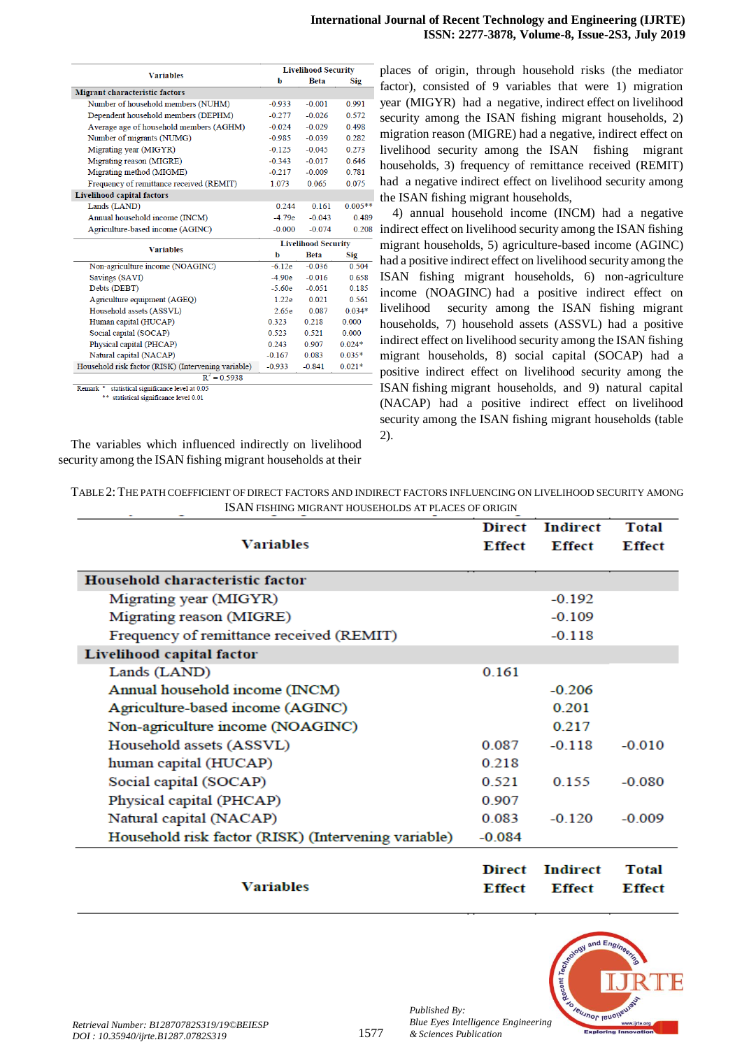| <b>Variables</b>                                                  | <b>Livelihood Security</b> |             |            |  |
|-------------------------------------------------------------------|----------------------------|-------------|------------|--|
|                                                                   | b                          | <b>Beta</b> | <b>Sig</b> |  |
| Migrant characteristic factors                                    |                            |             |            |  |
| Number of household members (NUHM)                                | $-0.933$                   | $-0.001$    | 0.991      |  |
| Dependent household members (DEPHM)                               | $-0.277$                   | $-0.026$    | 0.572      |  |
| Average age of household members (AGHM)                           | $-0.024$                   | $-0.029$    | 0.498      |  |
| Number of migrants (NUMG)                                         | $-0.985$                   | $-0.039$    | 0.282      |  |
| Migrating year (MIGYR)                                            | $-0.125$                   | $-0.045$    | 0.273      |  |
| Migrating reason (MIGRE)                                          | $-0.343$                   | $-0.017$    | 0.646      |  |
| Migrating method (MIGME)                                          | $-0.217$                   | $-0.009$    | 0.781      |  |
| Frequency of remittance received (REMIT)                          | 1.073                      | 0.065       | 0.075      |  |
| <b>Livelihood capital factors</b>                                 |                            |             |            |  |
| Lands (LAND)                                                      | 0.244                      | 0.161       | $0.005**$  |  |
| Annual household income (INCM)                                    | $-4.79e$                   | $-0.043$    | 0.489      |  |
| Agriculture-based income (AGINC)                                  | $-0.000$                   | $-0.074$    | 0.208      |  |
| <b>Variables</b>                                                  | <b>Livelihood Security</b> |             |            |  |
|                                                                   | b                          | <b>Beta</b> | Sig        |  |
| Non-agriculture income (NOAGINC)                                  | $-6.12e$                   | $-0.036$    | 0.504      |  |
| Savings (SAVI)                                                    | $-4.90e$                   | $-0.016$    | 0.658      |  |
| Debts (DEBT)                                                      | $-5.60e$                   | $-0.051$    | 0.185      |  |
| Agriculture equipment (AGEQ)                                      | 1.22e                      | 0.021       | 0.561      |  |
| Household assets (ASSVL)                                          | 2.65e                      | 0.087       | $0.034*$   |  |
| Human capital (HUCAP)                                             | 0.323                      | 0.218       | 0.000      |  |
| Social capital (SOCAP)                                            | 0.523                      | 0.521       | 0.000      |  |
| Physical capital (PHCAP)                                          | 0.243                      | 0.907       | $0.024*$   |  |
| Natural capital (NACAP)                                           | $-0.167$                   | 0.083       | $0.035*$   |  |
| Household risk factor (RISK) (Intervening variable)               | $-0.933$                   | $-0.841$    | $0.021*$   |  |
|                                                                   |                            |             |            |  |
| $R^2 = 0.5938$<br>Remark * statistical significance level at 0.05 |                            |             |            |  |

\*\* statistical significance level 0.01

The variables which influenced indirectly on livelihood security among the ISAN fishing migrant households at their places of origin, through household risks (the mediator factor), consisted of 9 variables that were 1) migration year (MIGYR) had a negative, indirect effect on livelihood security among the ISAN fishing migrant households, 2) migration reason (MIGRE) had a negative, indirect effect on livelihood security among the ISAN fishing migrant households, 3) frequency of remittance received (REMIT) had a negative indirect effect on livelihood security among the ISAN fishing migrant households,

4) annual household income (INCM) had a negative indirect effect on livelihood security among the ISAN fishing migrant households, 5) agriculture-based income (AGINC) had a positive indirect effect on livelihood security among the ISAN fishing migrant households, 6) non-agriculture income (NOAGINC) had a positive indirect effect on livelihood security among the ISAN fishing migrant households, 7) household assets (ASSVL) had a positive indirect effect on livelihood security among the ISAN fishing migrant households, 8) social capital (SOCAP) had a positive indirect effect on livelihood security among the ISAN fishing migrant households, and 9) natural capital (NACAP) had a positive indirect effect on livelihood security among the ISAN fishing migrant households (table 2).

| TABLE 2: THE PATH COEFFICIENT OF DIRECT FACTORS AND INDIRECT FACTORS INFLUENCING ON LIVELIHOOD SECURITY AMONG |
|---------------------------------------------------------------------------------------------------------------|
| ISAN FISHING MIGRANT HOUSEHOLDS AT PLACES OF ORIGIN                                                           |

| <b>Variables</b>                                    | <b>Direct</b><br><b>Effect</b> | <b>Indirect</b><br><b>Effect</b> | <b>Total</b><br><b>Effect</b> |
|-----------------------------------------------------|--------------------------------|----------------------------------|-------------------------------|
| Household characteristic factor                     |                                |                                  |                               |
| Migrating year (MIGYR)                              |                                | $-0.192$                         |                               |
| Migrating reason (MIGRE)                            |                                | $-0.109$                         |                               |
| Frequency of remittance received (REMIT)            |                                | $-0.118$                         |                               |
| Livelihood capital factor                           |                                |                                  |                               |
| Lands (LAND)                                        | 0.161                          |                                  |                               |
| Annual household income (INCM)                      |                                | $-0.206$                         |                               |
| Agriculture-based income (AGINC)                    |                                | 0.201                            |                               |
| Non-agriculture income (NOAGINC)                    |                                | 0.217                            |                               |
| Household assets (ASSVL)                            | 0.087                          | $-0.118$                         | $-0.010$                      |
| human capital (HUCAP)                               | 0.218                          |                                  |                               |
| Social capital (SOCAP)                              | 0.521                          | 0.155                            | $-0.080$                      |
| Physical capital (PHCAP)                            | 0.907                          |                                  |                               |
| Natural capital (NACAP)                             | 0.083                          | $-0.120$                         | $-0.009$                      |
| Household risk factor (RISK) (Intervening variable) | $-0.084$                       |                                  |                               |
| <b>Variables</b>                                    | <b>Direct</b><br>Effect        | <b>Indirect</b><br><b>Effect</b> | <b>Total</b><br><b>Effect</b> |



*Published By:*

*& Sciences Publication*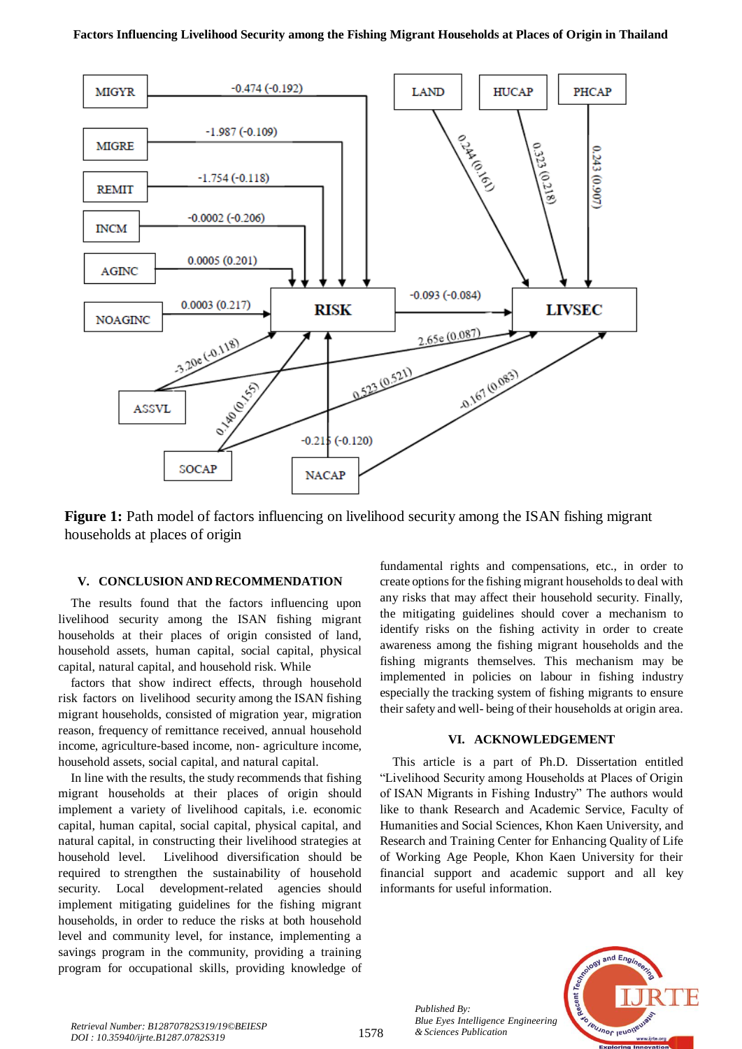

**Figure 1:** Path model of factors influencing on livelihood security among the ISAN fishing migrant households at places of origin

# **V. CONCLUSION AND RECOMMENDATION**

The results found that the factors influencing upon livelihood security among the ISAN fishing migrant households at their places of origin consisted of land, household assets, human capital, social capital, physical capital, natural capital, and household risk. While

factors that show indirect effects, through household risk factors on livelihood security among the ISAN fishing migrant households, consisted of migration year, migration reason, frequency of remittance received, annual household income, agriculture-based income, non- agriculture income, household assets, social capital, and natural capital.

In line with the results, the study recommends that fishing migrant households at their places of origin should implement a variety of livelihood capitals, i.e. economic capital, human capital, social capital, physical capital, and natural capital, in constructing their livelihood strategies at household level. Livelihood diversification should be required to strengthen the sustainability of household security. Local development-related agencies should implement mitigating guidelines for the fishing migrant households, in order to reduce the risks at both household level and community level, for instance, implementing a savings program in the community, providing a training program for occupational skills, providing knowledge of

fundamental rights and compensations, etc., in order to create options for the fishing migrant households to deal with any risks that may affect their household security. Finally, the mitigating guidelines should cover a mechanism to identify risks on the fishing activity in order to create awareness among the fishing migrant households and the fishing migrants themselves. This mechanism may be implemented in policies on labour in fishing industry especially the tracking system of fishing migrants to ensure their safety and well- being of their households at origin area.

# **VI. ACKNOWLEDGEMENT**

This article is a part of Ph.D. Dissertation entitled "Livelihood Security among Households at Places of Origin of ISAN Migrants in Fishing Industry" The authors would like to thank Research and Academic Service, Faculty of Humanities and Social Sciences, Khon Kaen University, and Research and Training Center for Enhancing Quality of Life of Working Age People, Khon Kaen University for their financial support and academic support and all key informants for useful information.



*Blue Eyes Intelligence*<br>*Retrieval Number: B12870782S319/19©BEIESP*<br>**1578** *b sciences Publication DOI : 10.35940/ijrte.B1287.0782S319*

*Published By:*